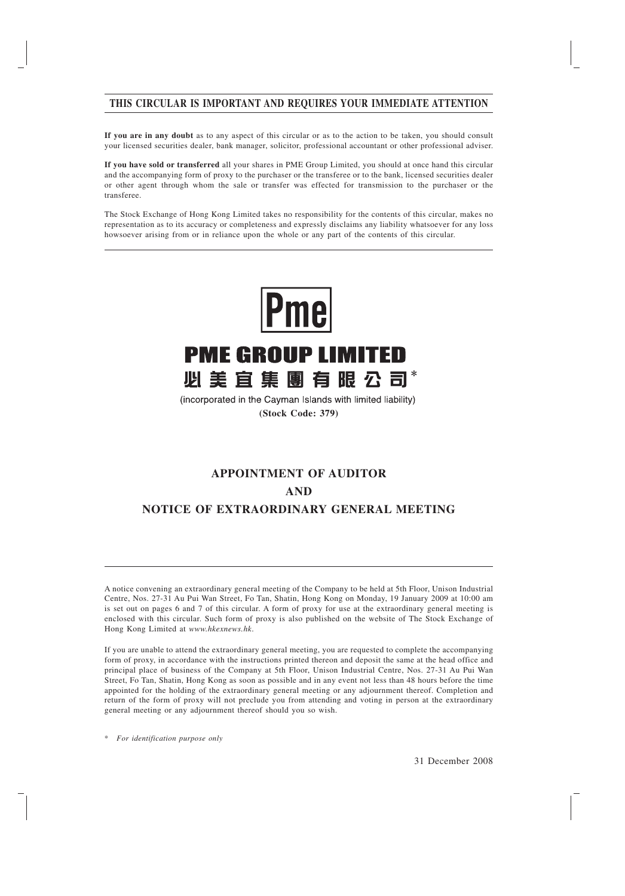### **THIS CIRCULAR IS IMPORTANT AND REQUIRES YOUR IMMEDIATE ATTENTION**

**If you are in any doubt** as to any aspect of this circular or as to the action to be taken, you should consult your licensed securities dealer, bank manager, solicitor, professional accountant or other professional adviser.

**If you have sold or transferred** all your shares in PME Group Limited, you should at once hand this circular and the accompanying form of proxy to the purchaser or the transferee or to the bank, licensed securities dealer or other agent through whom the sale or transfer was effected for transmission to the purchaser or the transferee.

The Stock Exchange of Hong Kong Limited takes no responsibility for the contents of this circular, makes no representation as to its accuracy or completeness and expressly disclaims any liability whatsoever for any loss howsoever arising from or in reliance upon the whole or any part of the contents of this circular.



(incorporated in the Cayman Islands with limited liability) **(Stock Code: 379)**

# **APPOINTMENT OF AUDITOR AND NOTICE OF EXTRAORDINARY GENERAL MEETING**

A notice convening an extraordinary general meeting of the Company to be held at 5th Floor, Unison Industrial Centre, Nos. 27-31 Au Pui Wan Street, Fo Tan, Shatin, Hong Kong on Monday, 19 January 2009 at 10:00 am is set out on pages 6 and 7 of this circular. A form of proxy for use at the extraordinary general meeting is enclosed with this circular. Such form of proxy is also published on the website of The Stock Exchange of Hong Kong Limited at *www.hkexnews.hk*.

If you are unable to attend the extraordinary general meeting, you are requested to complete the accompanying form of proxy, in accordance with the instructions printed thereon and deposit the same at the head office and principal place of business of the Company at 5th Floor, Unison Industrial Centre, Nos. 27-31 Au Pui Wan Street, Fo Tan, Shatin, Hong Kong as soon as possible and in any event not less than 48 hours before the time appointed for the holding of the extraordinary general meeting or any adjournment thereof. Completion and return of the form of proxy will not preclude you from attending and voting in person at the extraordinary general meeting or any adjournment thereof should you so wish.

\* *For identification purpose only*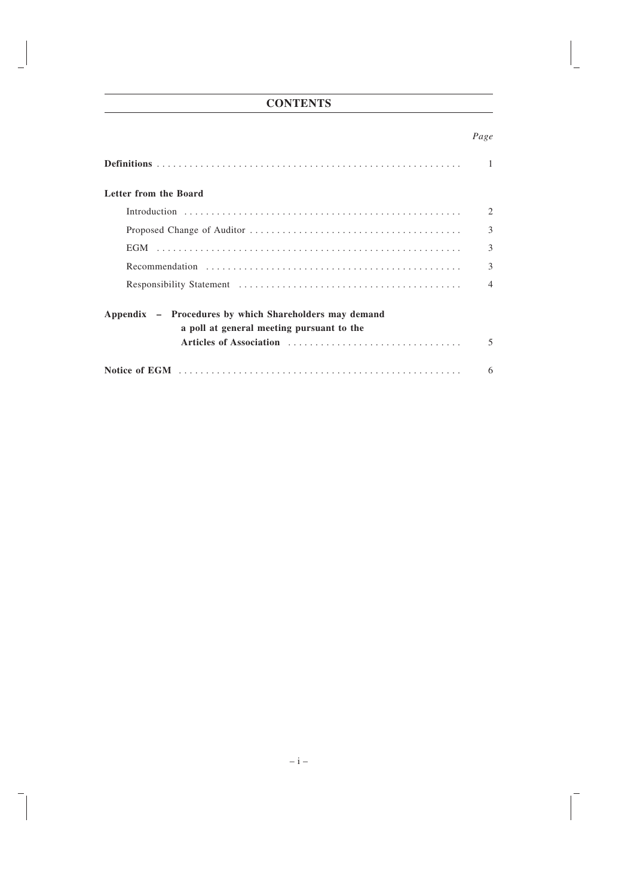## **CONTENTS**

### *Page*

| Letter from the Board                                                                                                               |                          |  |
|-------------------------------------------------------------------------------------------------------------------------------------|--------------------------|--|
|                                                                                                                                     | 2                        |  |
|                                                                                                                                     | 3                        |  |
|                                                                                                                                     | 3                        |  |
|                                                                                                                                     | 3                        |  |
|                                                                                                                                     | $\overline{\mathcal{A}}$ |  |
| Appendix – Procedures by which Shareholders may demand<br>a poll at general meeting pursuant to the<br>Articles of Association<br>5 |                          |  |
|                                                                                                                                     | 6                        |  |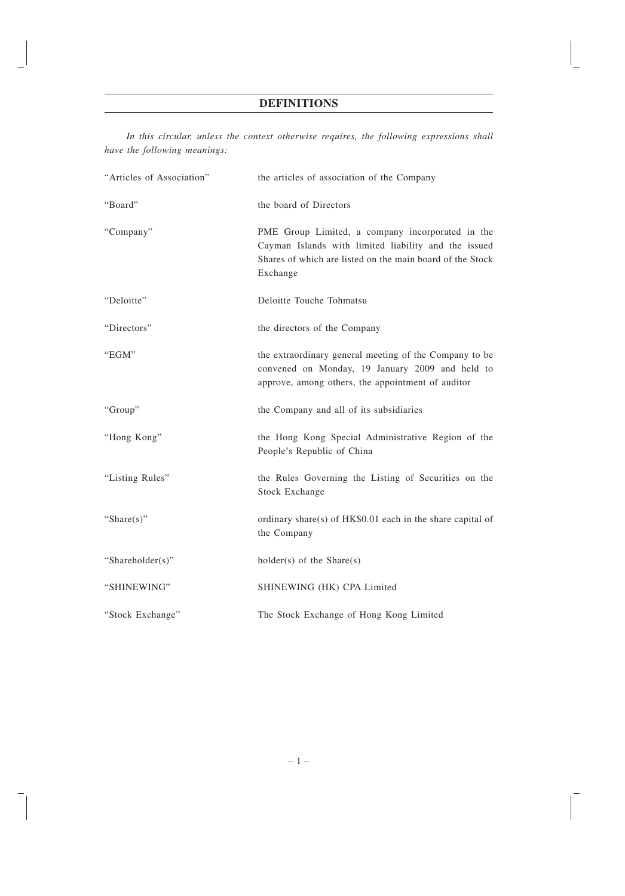## **DEFINITIONS**

*In this circular, unless the context otherwise requires, the following expressions shall have the following meanings:*

| "Articles of Association" | the articles of association of the Company                                                                                                                                        |
|---------------------------|-----------------------------------------------------------------------------------------------------------------------------------------------------------------------------------|
| "Board"                   | the board of Directors                                                                                                                                                            |
| "Company"                 | PME Group Limited, a company incorporated in the<br>Cayman Islands with limited liability and the issued<br>Shares of which are listed on the main board of the Stock<br>Exchange |
| "Deloitte"                | Deloitte Touche Tohmatsu                                                                                                                                                          |
| "Directors"               | the directors of the Company                                                                                                                                                      |
| "EGM"                     | the extraordinary general meeting of the Company to be<br>convened on Monday, 19 January 2009 and held to<br>approve, among others, the appointment of auditor                    |
| "Group"                   | the Company and all of its subsidiaries                                                                                                                                           |
| "Hong Kong"               | the Hong Kong Special Administrative Region of the<br>People's Republic of China                                                                                                  |
| "Listing Rules"           | the Rules Governing the Listing of Securities on the<br><b>Stock Exchange</b>                                                                                                     |
| "Share $(s)$ "            | ordinary share(s) of $HK$0.01$ each in the share capital of<br>the Company                                                                                                        |
| "Shareholder(s)"          | $holder(s)$ of the Share(s)                                                                                                                                                       |
| "SHINEWING"               | SHINEWING (HK) CPA Limited                                                                                                                                                        |
| "Stock Exchange"          | The Stock Exchange of Hong Kong Limited                                                                                                                                           |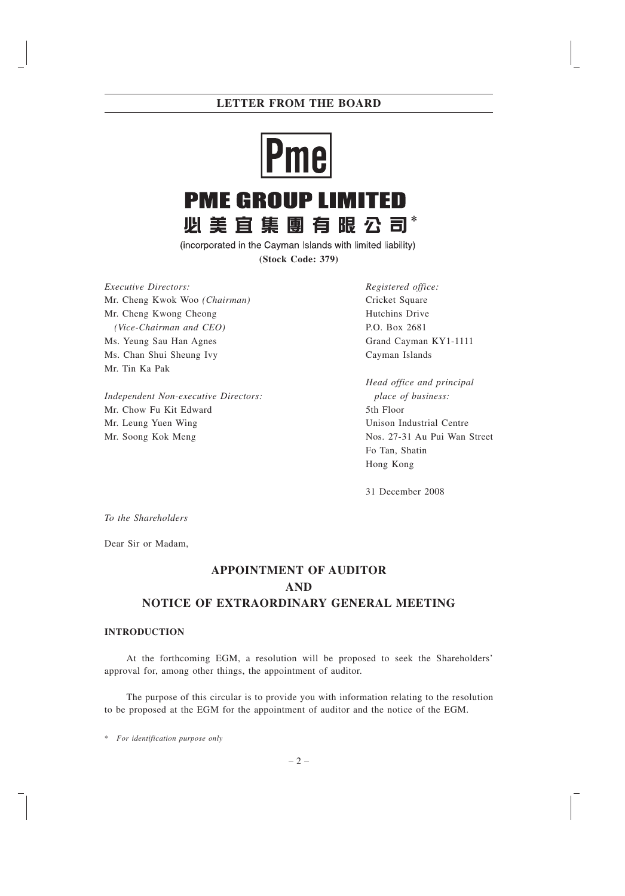## **LETTER FROM THE BOARD**



(incorporated in the Cayman Islands with limited liability) **(Stock Code: 379)**

*Executive Directors:* Mr. Cheng Kwok Woo *(Chairman)* Mr. Cheng Kwong Cheong *(Vice-Chairman and CEO)* Ms. Yeung Sau Han Agnes Ms. Chan Shui Sheung Ivy Mr. Tin Ka Pak

*Independent Non-executive Directors:* Mr. Chow Fu Kit Edward Mr. Leung Yuen Wing Mr. Soong Kok Meng

*Registered office:* Cricket Square Hutchins Drive P.O. Box 2681 Grand Cayman KY1-1111 Cayman Islands

*Head office and principal place of business:* 5th Floor Unison Industrial Centre Nos. 27-31 Au Pui Wan Street Fo Tan, Shatin Hong Kong

31 December 2008

*To the Shareholders*

Dear Sir or Madam,

## **APPOINTMENT OF AUDITOR AND NOTICE OF EXTRAORDINARY GENERAL MEETING**

#### **INTRODUCTION**

At the forthcoming EGM, a resolution will be proposed to seek the Shareholders' approval for, among other things, the appointment of auditor.

The purpose of this circular is to provide you with information relating to the resolution to be proposed at the EGM for the appointment of auditor and the notice of the EGM.

\* *For identification purpose only*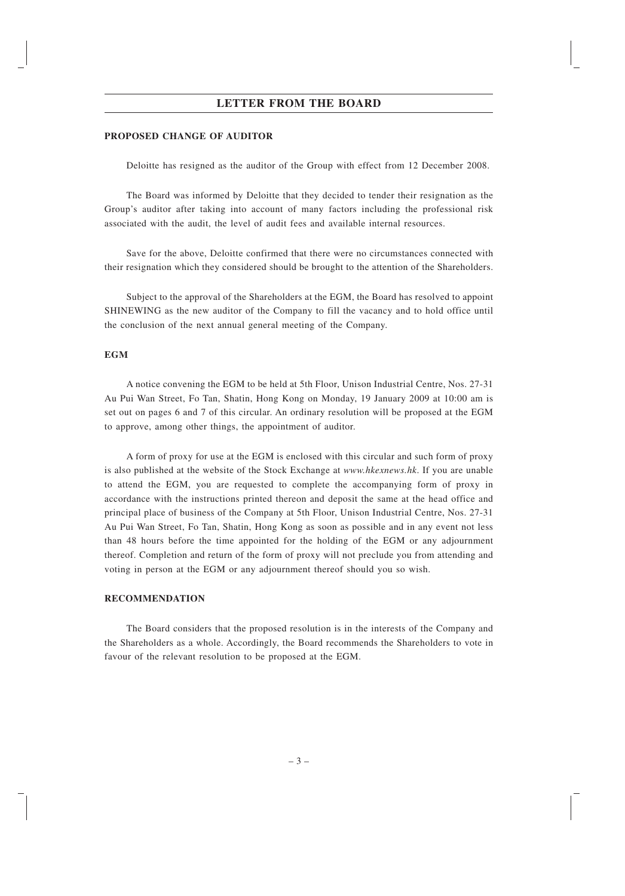### **LETTER FROM THE BOARD**

#### **PROPOSED CHANGE OF AUDITOR**

Deloitte has resigned as the auditor of the Group with effect from 12 December 2008.

The Board was informed by Deloitte that they decided to tender their resignation as the Group's auditor after taking into account of many factors including the professional risk associated with the audit, the level of audit fees and available internal resources.

Save for the above, Deloitte confirmed that there were no circumstances connected with their resignation which they considered should be brought to the attention of the Shareholders.

Subject to the approval of the Shareholders at the EGM, the Board has resolved to appoint SHINEWING as the new auditor of the Company to fill the vacancy and to hold office until the conclusion of the next annual general meeting of the Company.

#### **EGM**

A notice convening the EGM to be held at 5th Floor, Unison Industrial Centre, Nos. 27-31 Au Pui Wan Street, Fo Tan, Shatin, Hong Kong on Monday, 19 January 2009 at 10:00 am is set out on pages 6 and 7 of this circular. An ordinary resolution will be proposed at the EGM to approve, among other things, the appointment of auditor.

A form of proxy for use at the EGM is enclosed with this circular and such form of proxy is also published at the website of the Stock Exchange at *www.hkexnews.hk*. If you are unable to attend the EGM, you are requested to complete the accompanying form of proxy in accordance with the instructions printed thereon and deposit the same at the head office and principal place of business of the Company at 5th Floor, Unison Industrial Centre, Nos. 27-31 Au Pui Wan Street, Fo Tan, Shatin, Hong Kong as soon as possible and in any event not less than 48 hours before the time appointed for the holding of the EGM or any adjournment thereof. Completion and return of the form of proxy will not preclude you from attending and voting in person at the EGM or any adjournment thereof should you so wish.

### **RECOMMENDATION**

The Board considers that the proposed resolution is in the interests of the Company and the Shareholders as a whole. Accordingly, the Board recommends the Shareholders to vote in favour of the relevant resolution to be proposed at the EGM.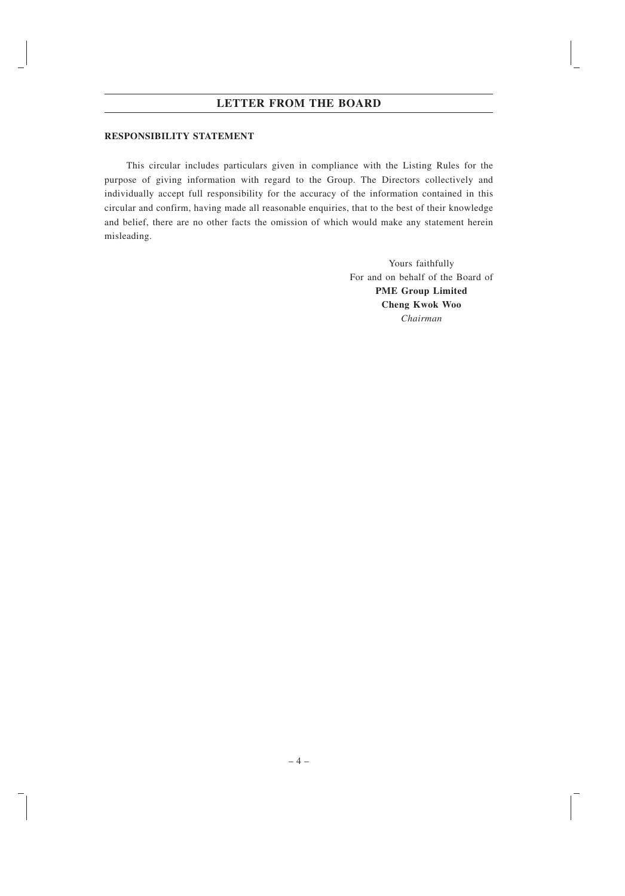### **LETTER FROM THE BOARD**

#### **RESPONSIBILITY STATEMENT**

This circular includes particulars given in compliance with the Listing Rules for the purpose of giving information with regard to the Group. The Directors collectively and individually accept full responsibility for the accuracy of the information contained in this circular and confirm, having made all reasonable enquiries, that to the best of their knowledge and belief, there are no other facts the omission of which would make any statement herein misleading.

> Yours faithfully For and on behalf of the Board of **PME Group Limited Cheng Kwok Woo** *Chairman*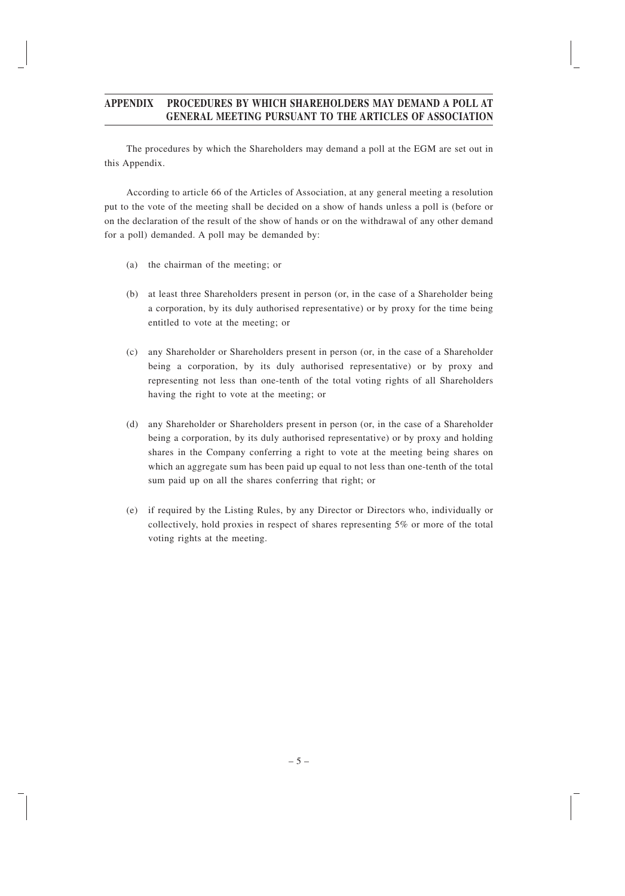## **APPENDIX PROCEDURES BY WHICH SHAREHOLDERS MAY DEMAND A POLL AT GENERAL MEETING PURSUANT TO THE ARTICLES OF ASSOCIATION**

The procedures by which the Shareholders may demand a poll at the EGM are set out in this Appendix.

According to article 66 of the Articles of Association, at any general meeting a resolution put to the vote of the meeting shall be decided on a show of hands unless a poll is (before or on the declaration of the result of the show of hands or on the withdrawal of any other demand for a poll) demanded. A poll may be demanded by:

- (a) the chairman of the meeting; or
- (b) at least three Shareholders present in person (or, in the case of a Shareholder being a corporation, by its duly authorised representative) or by proxy for the time being entitled to vote at the meeting; or
- (c) any Shareholder or Shareholders present in person (or, in the case of a Shareholder being a corporation, by its duly authorised representative) or by proxy and representing not less than one-tenth of the total voting rights of all Shareholders having the right to vote at the meeting; or
- (d) any Shareholder or Shareholders present in person (or, in the case of a Shareholder being a corporation, by its duly authorised representative) or by proxy and holding shares in the Company conferring a right to vote at the meeting being shares on which an aggregate sum has been paid up equal to not less than one-tenth of the total sum paid up on all the shares conferring that right; or
- (e) if required by the Listing Rules, by any Director or Directors who, individually or collectively, hold proxies in respect of shares representing 5% or more of the total voting rights at the meeting.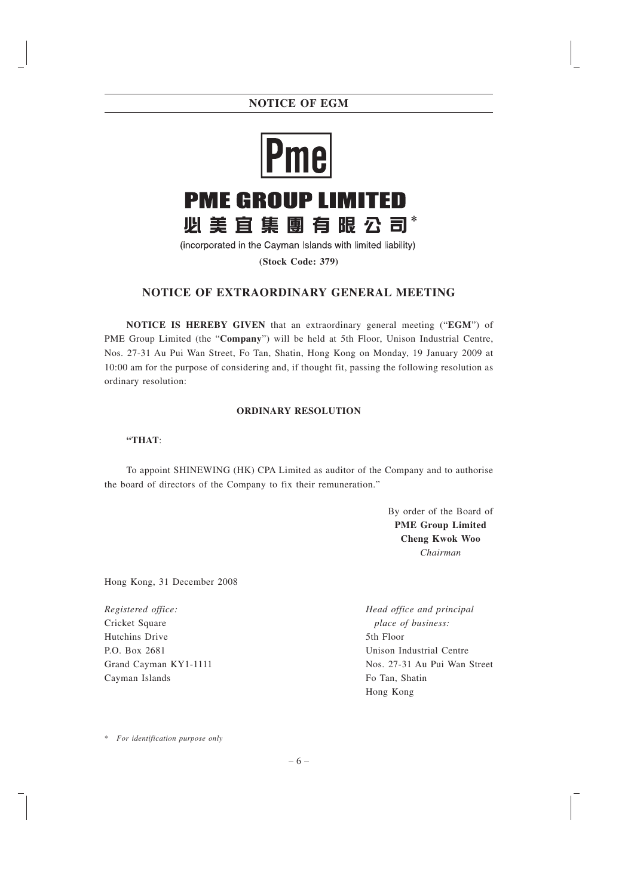## **NOTICE OF EGM**



(incorporated in the Cayman Islands with limited liability)

**(Stock Code: 379)**

## **NOTICE OF EXTRAORDINARY GENERAL MEETING**

**NOTICE IS HEREBY GIVEN** that an extraordinary general meeting ("**EGM**") of PME Group Limited (the "**Company**") will be held at 5th Floor, Unison Industrial Centre, Nos. 27-31 Au Pui Wan Street, Fo Tan, Shatin, Hong Kong on Monday, 19 January 2009 at 10:00 am for the purpose of considering and, if thought fit, passing the following resolution as ordinary resolution:

### **ORDINARY RESOLUTION**

#### **"THAT**:

To appoint SHINEWING (HK) CPA Limited as auditor of the Company and to authorise the board of directors of the Company to fix their remuneration."

> By order of the Board of **PME Group Limited Cheng Kwok Woo** *Chairman*

Hong Kong, 31 December 2008

*Registered office:* Cricket Square Hutchins Drive P.O. Box 2681 Grand Cayman KY1-1111 Cayman Islands

*Head office and principal place of business:* 5th Floor Unison Industrial Centre Nos. 27-31 Au Pui Wan Street Fo Tan, Shatin Hong Kong

\* *For identification purpose only*